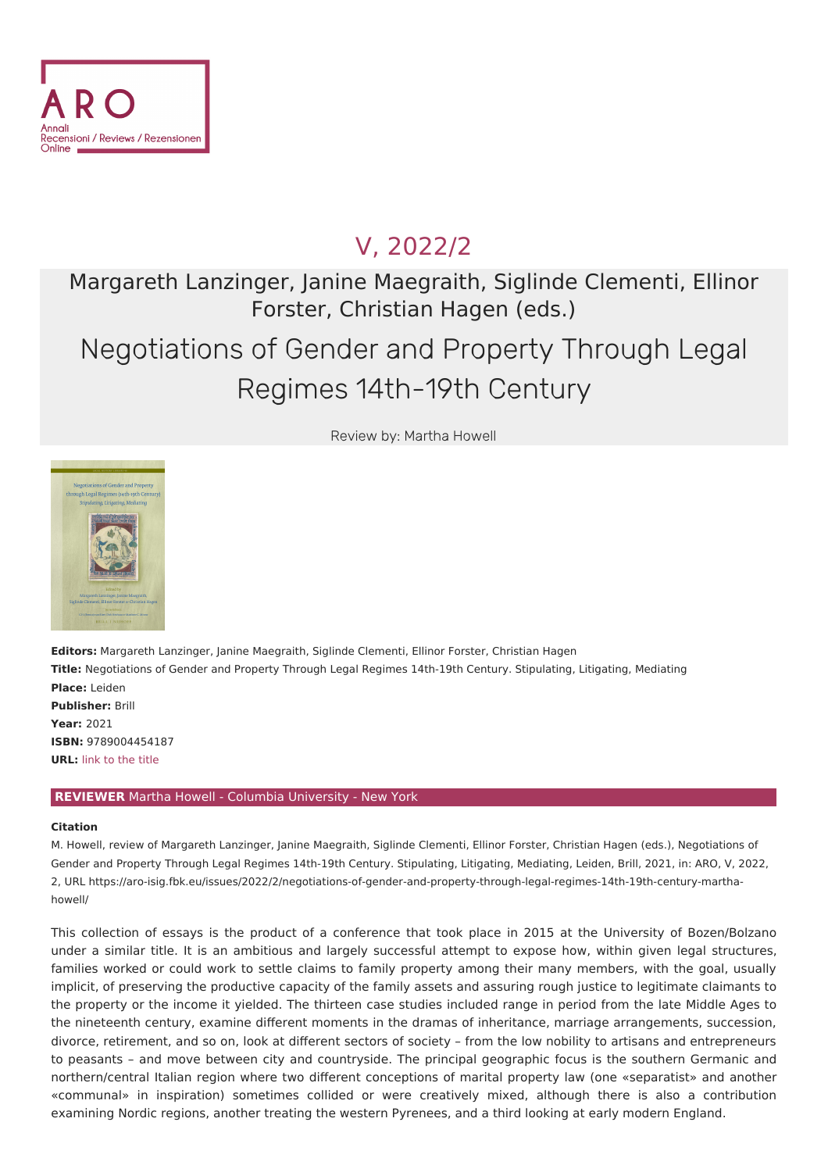

## V, [2022/2](file:///issues/2022/2/)

### Margareth Lanzinger, Janine Maegraith, Siglinde Clementi, Ellinor Forster, Christian Hagen (eds.)

# Negotiations of Gender and Property Through Legal Regimes 14th-19th Century

Review by: Martha Howell



**Editors:** Margareth Lanzinger, Janine Maegraith, Siglinde Clementi, Ellinor Forster, Christian Hagen **Title:** Negotiations of Gender and Property Through Legal Regimes 14th-19th Century. Stipulating, Litigating, Mediating **Place:** Leiden **Publisher:** Brill **Year:** 2021 **ISBN:** 9789004454187 **URL:** link to the [title](https://brill.com/view/title/59796)

### **REVIEWER** Martha Howell - Columbia University - New York

#### **Citation**

M. Howell, review of Margareth Lanzinger, Janine Maegraith, Siglinde Clementi, Ellinor Forster, Christian Hagen (eds.), Negotiations of Gender and Property Through Legal Regimes 14th-19th Century. Stipulating, Litigating, Mediating, Leiden, Brill, 2021, in: ARO, V, 2022, 2, URL [https://aro-isig.fbk.eu/issues/2022/2/negotiations-of-gender-and-property-through-legal-regimes-14th-19th-century-martha](https://aro-isig.fbk.eu/issues/2022/2/negotiations-of-gender-and-property-through-legal-regimes-14th-19th-century-martha-howell/)howell/

This collection of essays is the product of a conference that took place in 2015 at the University of Bozen/Bolzano under a similar title. It is an ambitious and largely successful attempt to expose how, within given legal structures, families worked or could work to settle claims to family property among their many members, with the goal, usually implicit, of preserving the productive capacity of the family assets and assuring rough justice to legitimate claimants to the property or the income it yielded. The thirteen case studies included range in period from the late Middle Ages to the nineteenth century, examine different moments in the dramas of inheritance, marriage arrangements, succession, divorce, retirement, and so on, look at different sectors of society – from the low nobility to artisans and entrepreneurs to peasants – and move between city and countryside. The principal geographic focus is the southern Germanic and northern/central Italian region where two different conceptions of marital property law (one «separatist» and another «communal» in inspiration) sometimes collided or were creatively mixed, although there is also a contribution examining Nordic regions, another treating the western Pyrenees, and a third looking at early modern England.